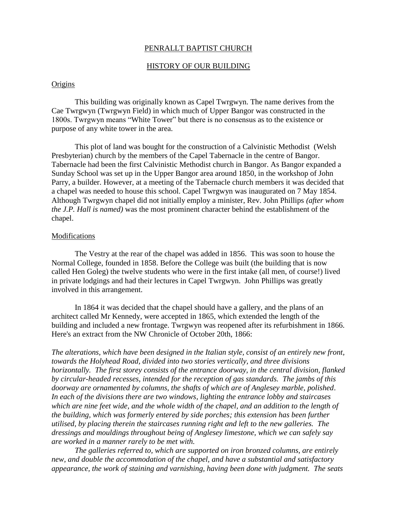## PENRALLT BAPTIST CHURCH

# HISTORY OF OUR BUILDING

## **Origins**

This building was originally known as Capel Twrgwyn. The name derives from the Cae Twrgwyn (Twrgwyn Field) in which much of Upper Bangor was constructed in the 1800s. Twrgwyn means "White Tower" but there is no consensus as to the existence or purpose of any white tower in the area.

This plot of land was bought for the construction of a Calvinistic Methodist (Welsh Presbyterian) church by the members of the Capel Tabernacle in the centre of Bangor. Tabernacle had been the first Calvinistic Methodist church in Bangor. As Bangor expanded a Sunday School was set up in the Upper Bangor area around 1850, in the workshop of John Parry, a builder. However, at a meeting of the Tabernacle church members it was decided that a chapel was needed to house this school. Capel Twrgwyn was inaugurated on 7 May 1854. Although Twrgwyn chapel did not initially employ a minister, Rev. John Phillips *(after whom the J.P. Hall is named)* was the most prominent character behind the establishment of the chapel.

### Modifications

The Vestry at the rear of the chapel was added in 1856. This was soon to house the Normal College, founded in 1858. Before the College was built (the building that is now called Hen Goleg) the twelve students who were in the first intake (all men, of course!) lived in private lodgings and had their lectures in Capel Twrgwyn. John Phillips was greatly involved in this arrangement.

In 1864 it was decided that the chapel should have a gallery, and the plans of an architect called Mr Kennedy, were accepted in 1865, which extended the length of the building and included a new frontage. Twrgwyn was reopened after its refurbishment in 1866. Here's an extract from the NW Chronicle of October 20th, 1866:

*The alterations, which have been designed in the Italian style, consist of an entirely new front, towards the Holyhead Road, divided into two stories vertically, and three divisions horizontally. The first storey consists of the entrance doorway, in the central division, flanked by circular-headed recesses, intended for the reception of gas standards. The jambs of this doorway are ornamented by columns, the shafts of which are of Anglesey marble, polished*. *In each of the divisions there are two windows, lighting the entrance lobby and staircases which are nine feet wide, and the whole width of the chapel, and an addition to the length of the building, which was formerly entered by side porches; this extension has been further utilised, by placing therein the staircases running right and left to the new galleries. The dressings and mouldings throughout being of Anglesey limestone, which we can safely say are worked in a manner rarely to be met with.* 

 *The galleries referred to, which are supported on iron bronzed columns, are entirely new, and double the accommodation of the chapel, and have a substantial and satisfactory appearance, the work of staining and varnishing, having been done with judgment. The seats*